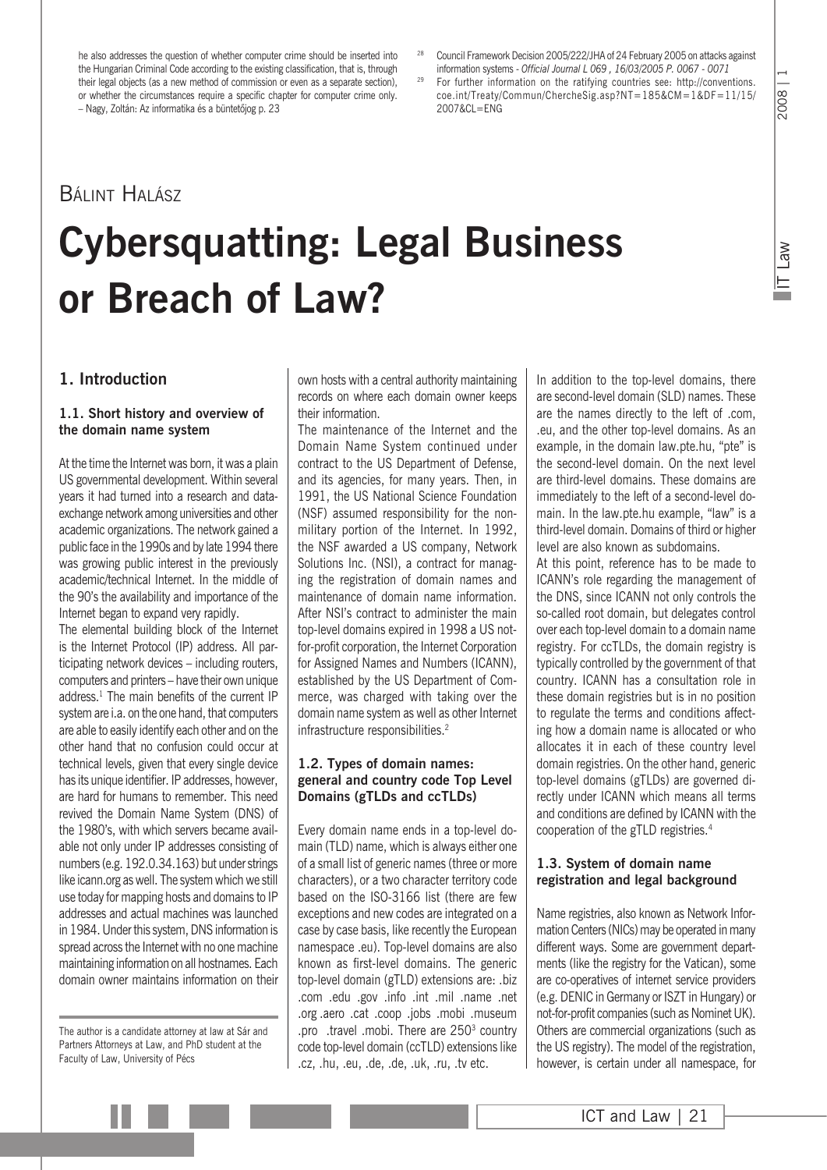he also addresses the question of whether computer crime should be inserted into the Hungarian Criminal Code according to the existing classification, that is, through their legal objects (as a new method of commission or even as a separate section), or whether the circumstances require a specific chapter for computer crime only. – Nagy, Zoltán: Az informatika és a büntetõjog p. 23

<sup>28</sup> Council Framework Decision 2005/222/JHA of 24 February 2005 on attacks against information systems - *Official Journal L 069 , 16/03/2005 P. 0067 - 0071*

<sup>29</sup> For further information on the ratifying countries see: http://conventions. coe.int/Treaty/Commun/ChercheSig.asp?NT=185&CM=1&DF=11/15/ 2007&CL=ENG

IT Law

## Bálint Halász

## **Cybersquatting: Legal Business or Breach of Law?**

### **1. Introduction**

#### **1.1. Short history and overview of the domain name system**

At the time the Internet was born, it was a plain US governmental development. Within several years it had turned into a research and dataexchange network among universities and other academic organizations. The network gained a public face in the 1990s and by late 1994 there was growing public interest in the previously academic/technical Internet. In the middle of the 90's the availability and importance of the Internet began to expand very rapidly.

The elemental building block of the Internet is the Internet Protocol (IP) address. All participating network devices – including routers, computers and printers – have their own unique address.<sup>1</sup> The main benefits of the current IP system are i.a. on the one hand, that computers are able to easily identify each other and on the other hand that no confusion could occur at technical levels, given that every single device has its unique identifier. IP addresses, however, are hard for humans to remember. This need revived the Domain Name System (DNS) of the 1980's, with which servers became available not only under IP addresses consisting of numbers (e.g. 192.0.34.163) but under strings like icann.org as well. The system which we still use today for mapping hosts and domains to IP addresses and actual machines was launched in 1984. Under this system, DNS information is spread across the Internet with no one machine maintaining information on all hostnames. Each domain owner maintains information on their

The author is a candidate attorney at law at Sár and Partners Attorneys at Law, and PhD student at the Faculty of Law, University of Pécs

own hosts with a central authority maintaining records on where each domain owner keeps their information.

The maintenance of the Internet and the Domain Name System continued under contract to the US Department of Defense, and its agencies, for many years. Then, in 1991, the US National Science Foundation (NSF) assumed responsibility for the nonmilitary portion of the Internet. In 1992, the NSF awarded a US company, Network Solutions Inc. (NSI), a contract for managing the registration of domain names and maintenance of domain name information. After NSI's contract to administer the main top-level domains expired in 1998 a US notfor-profit corporation, the Internet Corporation for Assigned Names and Numbers (ICANN), established by the US Department of Commerce, was charged with taking over the domain name system as well as other Internet infrastructure responsibilities.<sup>2</sup>

#### **1.2. Types of domain names: general and country code Top Level Domains (gTLDs and ccTLDs)**

Every domain name ends in a top-level domain (TLD) name, which is always either one of a small list of generic names (three or more characters), or a two character territory code based on the ISO-3166 list (there are few exceptions and new codes are integrated on a case by case basis, like recently the European namespace .eu). Top-level domains are also known as first-level domains. The generic top-level domain (gTLD) extensions are: .biz .com .edu .gov .info .int .mil .name .net .org .aero .cat .coop .jobs .mobi .museum .pro .travel .mobi. There are 250<sup>3</sup> country code top-level domain (ccTLD) extensions like .cz, .hu, .eu, .de, .de, .uk, .ru, .tv etc.

In addition to the top-level domains, there are second-level domain (SLD) names. These are the names directly to the left of .com, .eu, and the other top-level domains. As an example, in the domain law.pte.hu, "pte" is the second-level domain. On the next level are third-level domains. These domains are immediately to the left of a second-level domain. In the law.pte.hu example, "law" is a third-level domain. Domains of third or higher level are also known as subdomains.

At this point, reference has to be made to ICANN's role regarding the management of the DNS, since ICANN not only controls the so-called root domain, but delegates control over each top-level domain to a domain name registry. For ccTLDs, the domain registry is typically controlled by the government of that country. ICANN has a consultation role in these domain registries but is in no position to regulate the terms and conditions affecting how a domain name is allocated or who allocates it in each of these country level domain registries. On the other hand, generic top-level domains (gTLDs) are governed directly under ICANN which means all terms and conditions are defined by ICANN with the cooperation of the gTLD registries.4

#### **1.3. System of domain name registration and legal background**

Name registries, also known as Network Information Centers (NICs) may be operated in many different ways. Some are government departments (like the registry for the Vatican), some are co-operatives of internet service providers (e.g. DENIC in Germany or ISZT in Hungary) or not-for-profit companies (such as Nominet UK). Others are commercial organizations (such as the US registry). The model of the registration, however, is certain under all namespace, for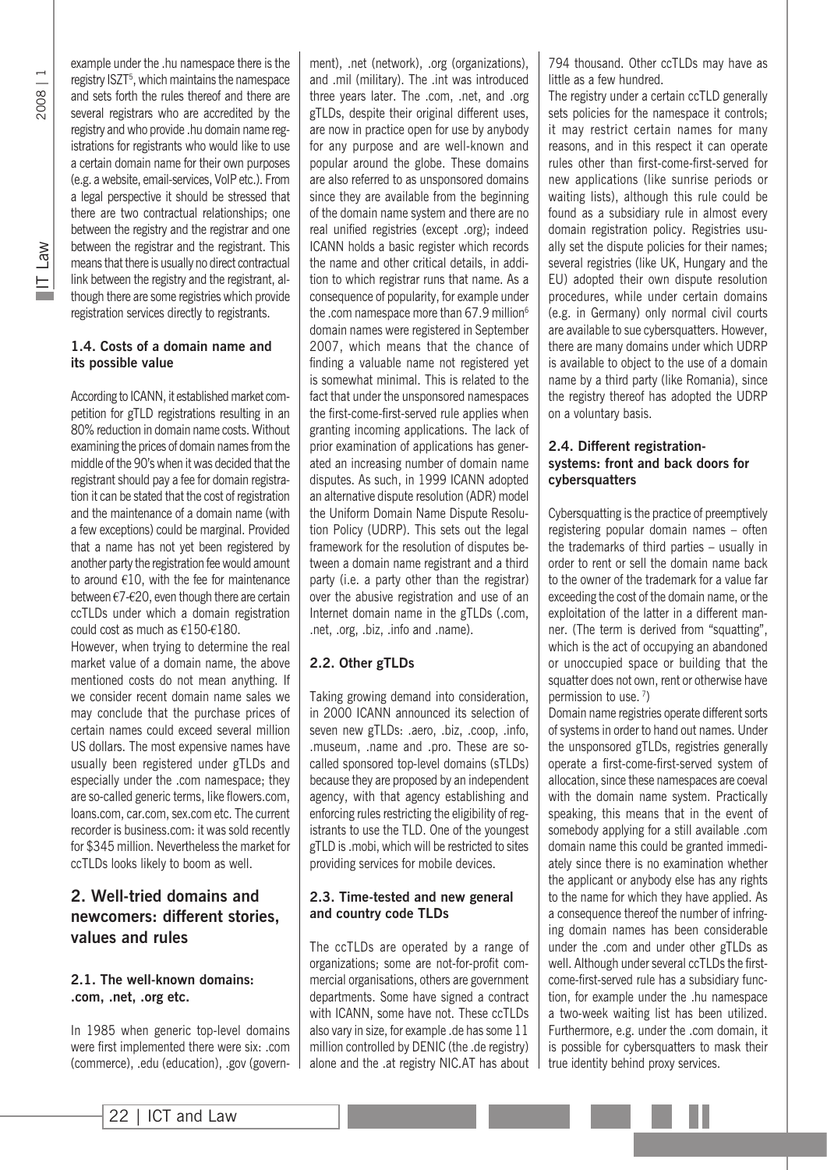IT Law

example under the .hu namespace there is the registry ISZT<sup>5</sup>, which maintains the namespace and sets forth the rules thereof and there are several registrars who are accredited by the registry and who provide .hu domain name registrations for registrants who would like to use a certain domain name for their own purposes (e.g. a website, email-services, VoIP etc.). From a legal perspective it should be stressed that there are two contractual relationships; one between the registry and the registrar and one between the registrar and the registrant. This means that there is usually no direct contractual link between the registry and the registrant, although there are some registries which provide registration services directly to registrants.

#### **1.4. Costs of a domain name and its possible value**

According to ICANN, it established market competition for gTLD registrations resulting in an 80% reduction in domain name costs. Without examining the prices of domain names from the middle of the 90's when it was decided that the registrant should pay a fee for domain registration it can be stated that the cost of registration and the maintenance of a domain name (with a few exceptions) could be marginal. Provided that a name has not yet been registered by another party the registration fee would amount to around €10, with the fee for maintenance between €7-€20, even though there are certain ccTLDs under which a domain registration could cost as much as €150-€180.

However, when trying to determine the real market value of a domain name, the above mentioned costs do not mean anything. If we consider recent domain name sales we may conclude that the purchase prices of certain names could exceed several million US dollars. The most expensive names have usually been registered under gTLDs and especially under the .com namespace; they are so-called generic terms, like flowers.com, loans.com, car.com, sex.com etc. The current recorder is business.com: it was sold recently for \$345 million. Nevertheless the market for ccTLDs looks likely to boom as well.

## **2. Well-tried domains and newcomers: different stories, values and rules**

#### **2.1. The well-known domains: .com, .net, .org etc.**

In 1985 when generic top-level domains were first implemented there were six: .com (commerce), .edu (education), .gov (government), .net (network), .org (organizations), and .mil (military). The .int was introduced three years later. The .com, .net, and .org gTLDs, despite their original different uses, are now in practice open for use by anybody for any purpose and are well-known and popular around the globe. These domains are also referred to as unsponsored domains since they are available from the beginning of the domain name system and there are no real unified registries (except .org); indeed ICANN holds a basic register which records the name and other critical details, in addition to which registrar runs that name. As a consequence of popularity, for example under the .com namespace more than 67.9 million<sup>6</sup> domain names were registered in September 2007, which means that the chance of finding a valuable name not registered yet is somewhat minimal. This is related to the fact that under the unsponsored namespaces the first-come-first-served rule applies when granting incoming applications. The lack of prior examination of applications has generated an increasing number of domain name disputes. As such, in 1999 ICANN adopted an alternative dispute resolution (ADR) model the Uniform Domain Name Dispute Resolution Policy (UDRP). This sets out the legal framework for the resolution of disputes between a domain name registrant and a third party (i.e. a party other than the registrar) over the abusive registration and use of an Internet domain name in the gTLDs (.com, .net, .org, .biz, .info and .name).

#### **2.2. Other gTLDs**

Taking growing demand into consideration, in 2000 ICANN announced its selection of seven new gTLDs: .aero, .biz, .coop, .info, .museum, .name and .pro. These are socalled sponsored top-level domains (sTLDs) because they are proposed by an independent agency, with that agency establishing and enforcing rules restricting the eligibility of registrants to use the TLD. One of the youngest gTLD is .mobi, which will be restricted to sites providing services for mobile devices.

#### **2.3. Time-tested and new general and country code TLDs**

The ccTLDs are operated by a range of organizations; some are not-for-profit commercial organisations, others are government departments. Some have signed a contract with ICANN, some have not. These ccTLDs also vary in size, for example .de has some 11 million controlled by DENIC (the .de registry) alone and the .at registry NIC.AT has about 794 thousand. Other ccTLDs may have as little as a few hundred.

The registry under a certain ccTLD generally sets policies for the namespace it controls; it may restrict certain names for many reasons, and in this respect it can operate rules other than first-come-first-served for new applications (like sunrise periods or waiting lists), although this rule could be found as a subsidiary rule in almost every domain registration policy. Registries usually set the dispute policies for their names; several registries (like UK, Hungary and the EU) adopted their own dispute resolution procedures, while under certain domains (e.g. in Germany) only normal civil courts are available to sue cybersquatters. However, there are many domains under which UDRP is available to object to the use of a domain name by a third party (like Romania), since the registry thereof has adopted the UDRP on a voluntary basis.

#### **2.4. Different registrationsystems: front and back doors for cybersquatters**

Cybersquatting is the practice of preemptively registering popular domain names – often the trademarks of third parties – usually in order to rent or sell the domain name back to the owner of the trademark for a value far exceeding the cost of the domain name, or the exploitation of the latter in a different manner. (The term is derived from "squatting", which is the act of occupying an abandoned or unoccupied space or building that the squatter does not own, rent or otherwise have permission to use. 7)

Domain name registries operate different sorts of systems in order to hand out names. Under the unsponsored gTLDs, registries generally operate a first-come-first-served system of allocation, since these namespaces are coeval with the domain name system. Practically speaking, this means that in the event of somebody applying for a still available .com domain name this could be granted immediately since there is no examination whether the applicant or anybody else has any rights to the name for which they have applied. As a consequence thereof the number of infringing domain names has been considerable under the .com and under other gTLDs as well. Although under several ccTLDs the firstcome-first-served rule has a subsidiary function, for example under the .hu namespace a two-week waiting list has been utilized. Furthermore, e.g. under the .com domain, it is possible for cybersquatters to mask their true identity behind proxy services.

Ш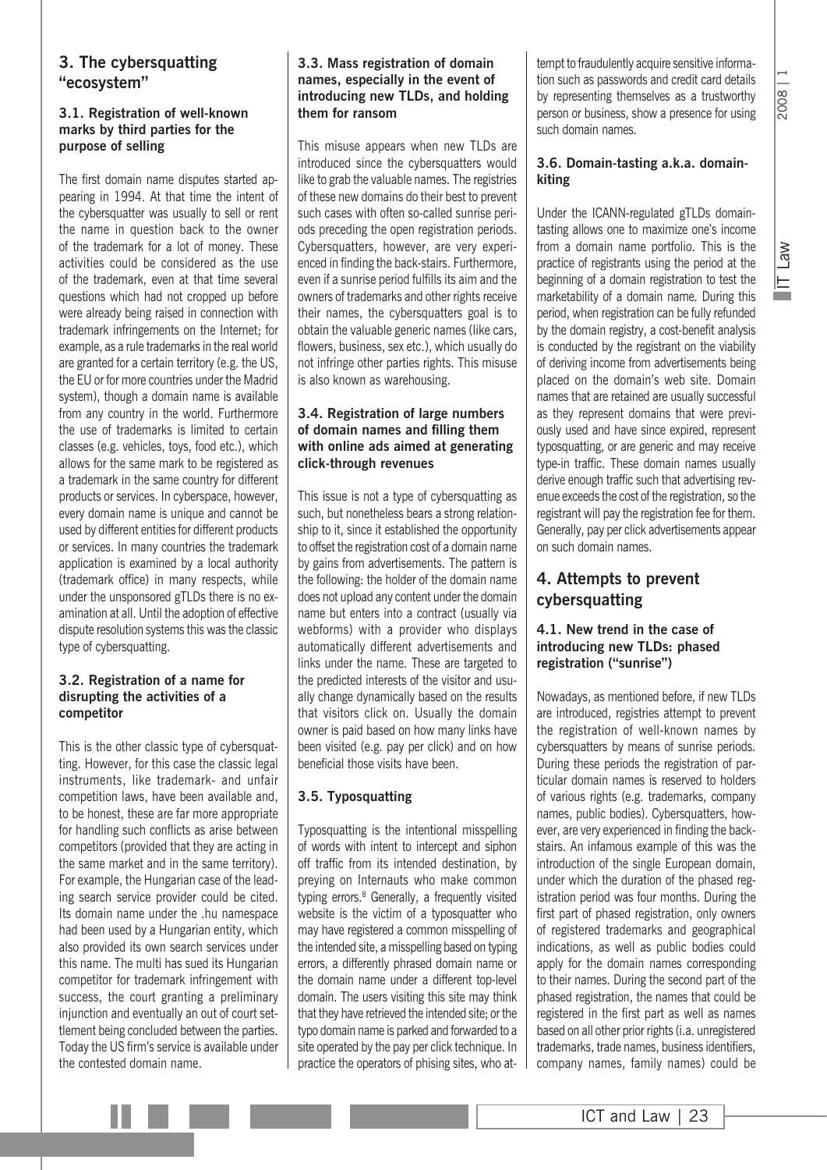# 2008

## **3. The cybersquatting "ecosystem"**

#### **3.1. Registration of well-known marks by third parties for the purpose of selling**

The first domain name disputes started appearing in 1994. At that time the intent of the cybersquatter was usually to sell or rent the name in question back to the owner of the trademark for a lot of money. These activities could be considered as the use of the trademark, even at that time several questions which had not cropped up before were already being raised in connection with trademark infringements on the Internet; for example, as a rule trademarks in the real world are granted for a certain territory (e.g. the US, the EU or for more countries under the Madrid system), though a domain name is available from any country in the world. Furthermore the use of trademarks is limited to certain classes (e.g. vehicles, toys, food etc.), which allows for the same mark to be registered as a trademark in the same country for different products or services. In cyberspace, however, every domain name is unique and cannot be used by different entities for different products or services. In many countries the trademark application is examined by a local authority (trademark office) in many respects, while under the unsponsored gTLDs there is no examination at all. Until the adoption of effective dispute resolution systems this was the classic type of cybersquatting.

#### **3.2. Registration of a name for disrupting the activities of a competitor**

This is the other classic type of cybersquatting. However, for this case the classic legal instruments, like trademark- and unfair competition laws, have been available and, to be honest, these are far more appropriate for handling such conflicts as arise between competitors (provided that they are acting in the same market and in the same territory). For example, the Hungarian case of the leading search service provider could be cited. Its domain name under the .hu namespace had been used by a Hungarian entity, which also provided its own search services under this name. The multi has sued its Hungarian competitor for trademark infringement with success, the court granting a preliminary injunction and eventually an out of court settlement being concluded between the parties. Today the US firm's service is available under the contested domain name.

#### **3.3. Mass registration of domain names, especially in the event of introducing new TLDs, and holding them for ransom**

This misuse appears when new TLDs are introduced since the cybersquatters would like to grab the valuable names. The registries of these new domains do their best to prevent such cases with often so-called sunrise periods preceding the open registration periods. Cybersquatters, however, are very experienced in finding the back-stairs. Furthermore, even if a sunrise period fulfills its aim and the owners of trademarks and other rights receive their names, the cybersquatters goal is to obtain the valuable generic names (like cars, flowers, business, sex etc.), which usually do not infringe other parties rights. This misuse is also known as warehousing.

#### **3.4. Registration of large numbers of domain names and filling them with online ads aimed at generating click-through revenues**

This issue is not a type of cybersquatting as such, but nonetheless bears a strong relationship to it, since it established the opportunity to offset the registration cost of a domain name by gains from advertisements. The pattern is the following: the holder of the domain name does not upload any content under the domain name but enters into a contract (usually via webforms) with a provider who displays automatically different advertisements and links under the name. These are targeted to the predicted interests of the visitor and usually change dynamically based on the results that visitors click on. Usually the domain owner is paid based on how many links have been visited (e.g. pay per click) and on how beneficial those visits have been.

### **3.5. Typosquatting**

Typosquatting is the intentional misspelling of words with intent to intercept and siphon off traffic from its intended destination, by preying on Internauts who make common typing errors.<sup>8</sup> Generally, a frequently visited website is the victim of a typosquatter who may have registered a common misspelling of the intended site, a misspelling based on typing errors, a differently phrased domain name or the domain name under a different top-level domain. The users visiting this site may think that they have retrieved the intended site; or the typo domain name is parked and forwarded to a site operated by the pay per click technique. In practice the operators of phising sites, who at-

tempt to fraudulently acquire sensitive information such as passwords and credit card details by representing themselves as a trustworthy person or business, show a presence for using such domain names.

#### **3.6. Domain-tasting a.k.a. domainkiting**

Under the ICANN-regulated gTLDs domaintasting allows one to maximize one's income from a domain name portfolio. This is the practice of registrants using the period at the beginning of a domain registration to test the marketability of a domain name. During this period, when registration can be fully refunded by the domain registry, a cost-benefit analysis is conducted by the registrant on the viability of deriving income from advertisements being placed on the domain's web site. Domain names that are retained are usually successful as they represent domains that were previously used and have since expired, represent typosquatting, or are generic and may receive type-in traffic. These domain names usually derive enough traffic such that advertising revenue exceeds the cost of the registration, so the registrant will pay the registration fee for them. Generally, pay per click advertisements appear on such domain names.

## **4. Attempts to prevent cybersquatting**

#### **4.1. New trend in the case of introducing new TLDs: phased registration ("sunrise")**

Nowadays, as mentioned before, if new TLDs are introduced, registries attempt to prevent the registration of well-known names by cybersquatters by means of sunrise periods. During these periods the registration of particular domain names is reserved to holders of various rights (e.g. trademarks, company names, public bodies). Cybersquatters, however, are very experienced in finding the backstairs. An infamous example of this was the introduction of the single European domain, under which the duration of the phased registration period was four months. During the first part of phased registration, only owners of registered trademarks and geographical indications, as well as public bodies could apply for the domain names corresponding to their names. During the second part of the phased registration, the names that could be registered in the first part as well as names based on all other prior rights (i.a. unregistered trademarks, trade names, business identifiers, company names, family names) could be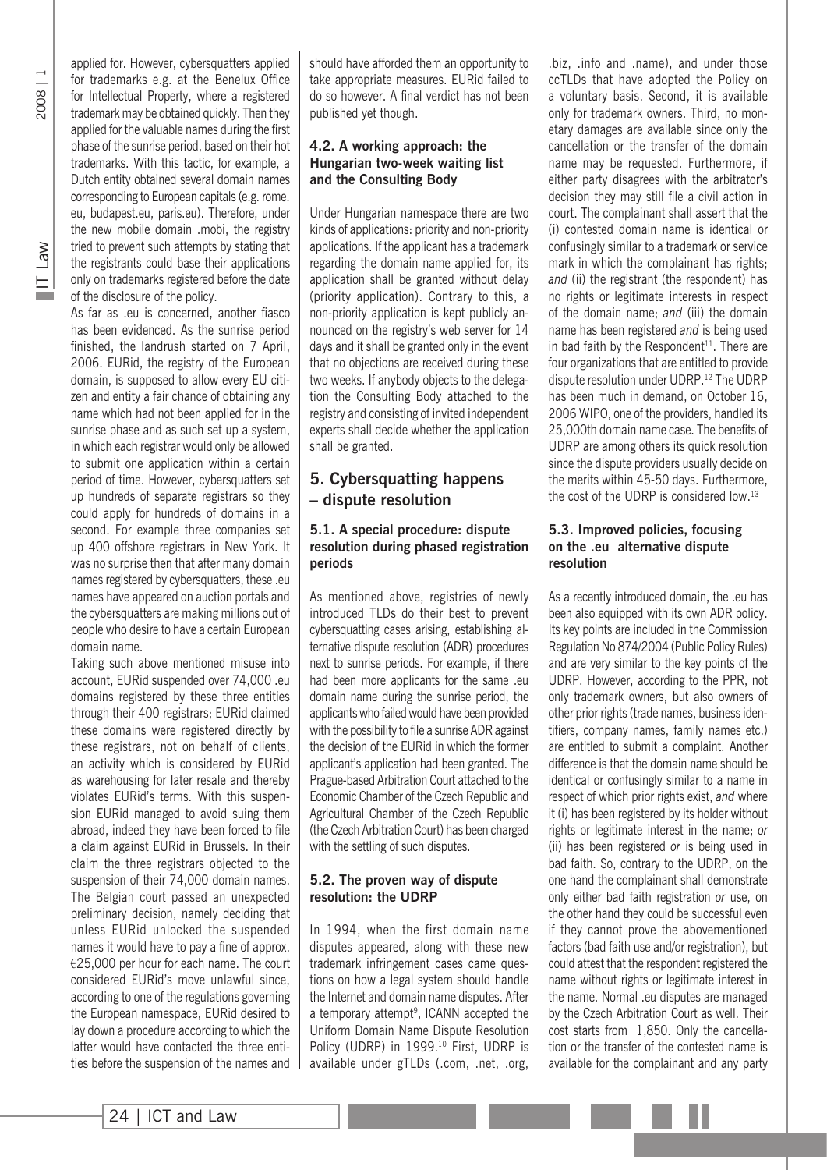2008 | 1

applied for. However, cybersquatters applied for trademarks e.g. at the Benelux Office for Intellectual Property, where a registered trademark may be obtained quickly. Then they applied for the valuable names during the first phase of the sunrise period, based on their hot trademarks. With this tactic, for example, a Dutch entity obtained several domain names corresponding to European capitals (e.g. rome. eu, budapest.eu, paris.eu). Therefore, under the new mobile domain .mobi, the registry tried to prevent such attempts by stating that the registrants could base their applications only on trademarks registered before the date of the disclosure of the policy.

As far as .eu is concerned, another fiasco has been evidenced. As the sunrise period finished, the landrush started on 7 April, 2006. EURid, the registry of the European domain, is supposed to allow every EU citizen and entity a fair chance of obtaining any name which had not been applied for in the sunrise phase and as such set up a system, in which each registrar would only be allowed to submit one application within a certain period of time. However, cybersquatters set up hundreds of separate registrars so they could apply for hundreds of domains in a second. For example three companies set up 400 offshore registrars in New York. It was no surprise then that after many domain names registered by cybersquatters, these .eu names have appeared on auction portals and the cybersquatters are making millions out of people who desire to have a certain European domain name.

Taking such above mentioned misuse into account, EURid suspended over 74,000 .eu domains registered by these three entities through their 400 registrars; EURid claimed these domains were registered directly by these registrars, not on behalf of clients, an activity which is considered by EURid as warehousing for later resale and thereby violates EURid's terms. With this suspension EURid managed to avoid suing them abroad, indeed they have been forced to file a claim against EURid in Brussels. In their claim the three registrars objected to the suspension of their 74,000 domain names. The Belgian court passed an unexpected preliminary decision, namely deciding that unless EURid unlocked the suspended names it would have to pay a fine of approx. €25,000 per hour for each name. The court considered EURid's move unlawful since, according to one of the regulations governing the European namespace, EURid desired to lay down a procedure according to which the latter would have contacted the three entities before the suspension of the names and

should have afforded them an opportunity to take appropriate measures. EURid failed to do so however. A final verdict has not been published yet though.

#### **4.2. A working approach: the Hungarian two-week waiting list and the Consulting Body**

Under Hungarian namespace there are two kinds of applications: priority and non-priority applications. If the applicant has a trademark regarding the domain name applied for, its application shall be granted without delay (priority application). Contrary to this, a non-priority application is kept publicly announced on the registry's web server for 14 days and it shall be granted only in the event that no objections are received during these two weeks. If anybody objects to the delegation the Consulting Body attached to the registry and consisting of invited independent experts shall decide whether the application shall be granted.

## **5. Cybersquatting happens – dispute resolution**

#### **5.1. A special procedure: dispute resolution during phased registration periods**

As mentioned above, registries of newly introduced TLDs do their best to prevent cybersquatting cases arising, establishing alternative dispute resolution (ADR) procedures next to sunrise periods. For example, if there had been more applicants for the same .eu domain name during the sunrise period, the applicants who failed would have been provided with the possibility to file a sunrise ADR against the decision of the EURid in which the former applicant's application had been granted. The Prague-based Arbitration Court attached to the Economic Chamber of the Czech Republic and Agricultural Chamber of the Czech Republic (the Czech Arbitration Court) has been charged with the settling of such disputes.

#### **5.2. The proven way of dispute resolution: the UDRP**

In 1994, when the first domain name disputes appeared, along with these new trademark infringement cases came questions on how a legal system should handle the Internet and domain name disputes. After a temporary attempt<sup>9</sup>, ICANN accepted the Uniform Domain Name Dispute Resolution Policy (UDRP) in 1999.<sup>10</sup> First, UDRP is available under gTLDs (.com, .net, .org,

.biz, .info and .name), and under those ccTLDs that have adopted the Policy on a voluntary basis. Second, it is available only for trademark owners. Third, no monetary damages are available since only the cancellation or the transfer of the domain name may be requested. Furthermore, if either party disagrees with the arbitrator's decision they may still file a civil action in court. The complainant shall assert that the (i) contested domain name is identical or confusingly similar to a trademark or service mark in which the complainant has rights; *and* (ii) the registrant (the respondent) has no rights or legitimate interests in respect of the domain name; *and* (iii) the domain name has been registered *and* is being used in bad faith by the Respondent $11$ . There are four organizations that are entitled to provide dispute resolution under UDRP.<sup>12</sup> The UDRP has been much in demand, on October 16, 2006 WIPO, one of the providers, handled its 25,000th domain name case. The benefits of UDRP are among others its quick resolution since the dispute providers usually decide on the merits within 45-50 days. Furthermore, the cost of the UDRP is considered low.13

#### **5.3. Improved policies, focusing on the .eu alternative dispute resolution**

As a recently introduced domain, the .eu has been also equipped with its own ADR policy. Its key points are included in the Commission Regulation No 874/2004 (Public Policy Rules) and are very similar to the key points of the UDRP. However, according to the PPR, not only trademark owners, but also owners of other prior rights (trade names, business identifiers, company names, family names etc.) are entitled to submit a complaint. Another difference is that the domain name should be identical or confusingly similar to a name in respect of which prior rights exist, *and* where it (i) has been registered by its holder without rights or legitimate interest in the name; *or* (ii) has been registered *or* is being used in bad faith. So, contrary to the UDRP, on the one hand the complainant shall demonstrate only either bad faith registration *or* use, on the other hand they could be successful even if they cannot prove the abovementioned factors (bad faith use and/or registration), but could attest that the respondent registered the name without rights or legitimate interest in the name. Normal .eu disputes are managed by the Czech Arbitration Court as well. Their cost starts from €,850. Only the cancellation or the transfer of the contested name is available for the complainant and any party

Ш